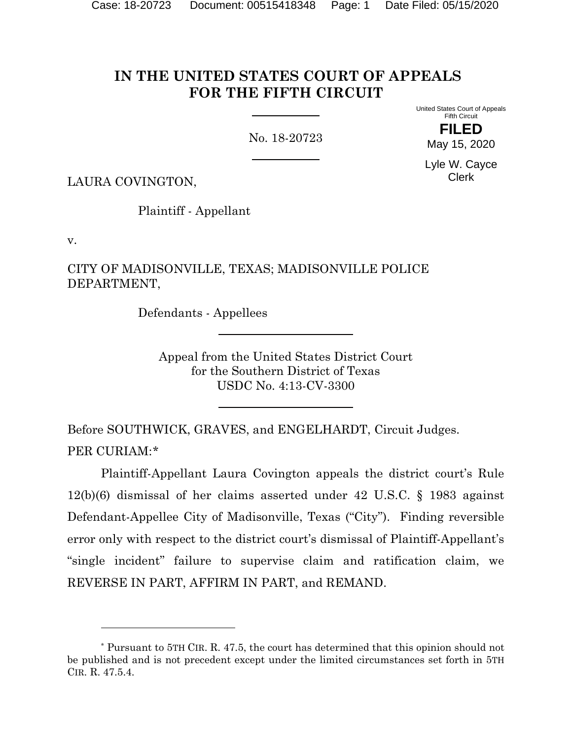# **IN THE UNITED STATES COURT OF APPEALS FOR THE FIFTH CIRCUIT**

No. 18-20723

United States Court of Appeals Fifth Circuit

> **FILED** May 15, 2020

Lyle W. Cayce Clerk

LAURA COVINGTON,

Plaintiff - Appellant

v.

CITY OF MADISONVILLE, TEXAS; MADISONVILLE POLICE DEPARTMENT,

Defendants - Appellees

Appeal from the United States District Court for the Southern District of Texas USDC No. 4:13-CV-3300

Before SOUTHWICK, GRAVES, and ENGELHARDT, Circuit Judges. PER CURIAM:[\\*](#page-0-0)

Plaintiff-Appellant Laura Covington appeals the district court's Rule 12(b)(6) dismissal of her claims asserted under 42 U.S.C. § 1983 against Defendant-Appellee City of Madisonville, Texas ("City"). Finding reversible error only with respect to the district court's dismissal of Plaintiff-Appellant's "single incident" failure to supervise claim and ratification claim, we REVERSE IN PART, AFFIRM IN PART, and REMAND.

<span id="page-0-0"></span><sup>\*</sup> Pursuant to 5TH CIR. R. 47.5, the court has determined that this opinion should not be published and is not precedent except under the limited circumstances set forth in 5TH CIR. R. 47.5.4.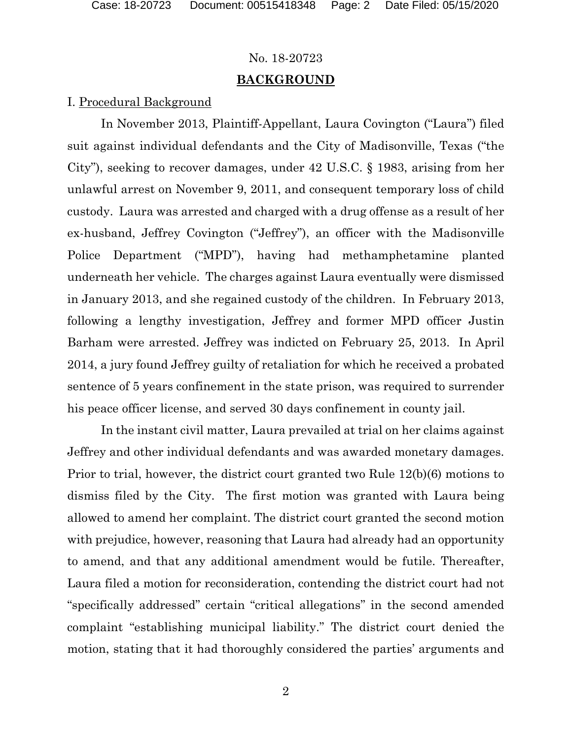# **BACKGROUND**

# I. Procedural Background

In November 2013, Plaintiff-Appellant, Laura Covington ("Laura") filed suit against individual defendants and the City of Madisonville, Texas ("the City"), seeking to recover damages, under 42 U.S.C. § 1983, arising from her unlawful arrest on November 9, 2011, and consequent temporary loss of child custody. Laura was arrested and charged with a drug offense as a result of her ex-husband, Jeffrey Covington ("Jeffrey"), an officer with the Madisonville Police Department ("MPD"), having had methamphetamine planted underneath her vehicle. The charges against Laura eventually were dismissed in January 2013, and she regained custody of the children. In February 2013, following a lengthy investigation, Jeffrey and former MPD officer Justin Barham were arrested. Jeffrey was indicted on February 25, 2013. In April 2014, a jury found Jeffrey guilty of retaliation for which he received a probated sentence of 5 years confinement in the state prison, was required to surrender his peace officer license, and served 30 days confinement in county jail.

In the instant civil matter, Laura prevailed at trial on her claims against Jeffrey and other individual defendants and was awarded monetary damages. Prior to trial, however, the district court granted two Rule 12(b)(6) motions to dismiss filed by the City. The first motion was granted with Laura being allowed to amend her complaint. The district court granted the second motion with prejudice, however, reasoning that Laura had already had an opportunity to amend, and that any additional amendment would be futile. Thereafter, Laura filed a motion for reconsideration, contending the district court had not "specifically addressed" certain "critical allegations" in the second amended complaint "establishing municipal liability." The district court denied the motion, stating that it had thoroughly considered the parties' arguments and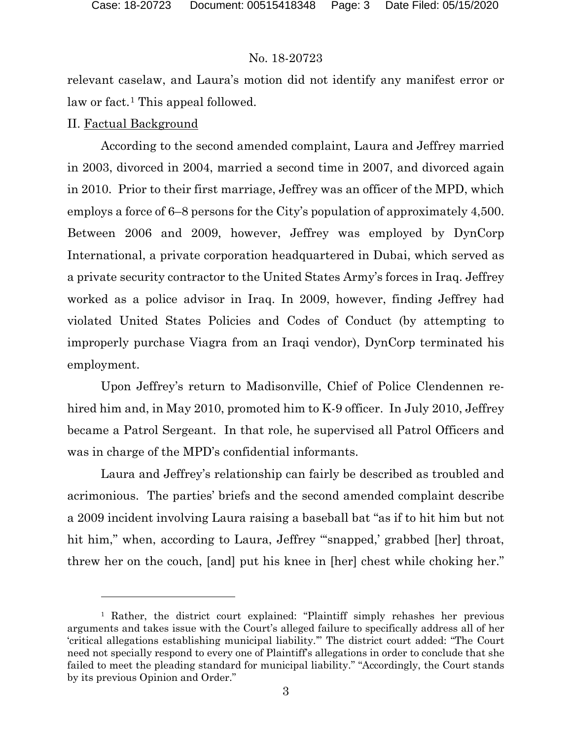relevant caselaw, and Laura's motion did not identify any manifest error or law or fact.<sup>[1](#page-2-0)</sup> This appeal followed.

# II. Factual Background

According to the second amended complaint, Laura and Jeffrey married in 2003, divorced in 2004, married a second time in 2007, and divorced again in 2010. Prior to their first marriage, Jeffrey was an officer of the MPD, which employs a force of 6–8 persons for the City's population of approximately 4,500. Between 2006 and 2009, however, Jeffrey was employed by DynCorp International, a private corporation headquartered in Dubai, which served as a private security contractor to the United States Army's forces in Iraq. Jeffrey worked as a police advisor in Iraq. In 2009, however, finding Jeffrey had violated United States Policies and Codes of Conduct (by attempting to improperly purchase Viagra from an Iraqi vendor), DynCorp terminated his employment.

Upon Jeffrey's return to Madisonville, Chief of Police Clendennen rehired him and, in May 2010, promoted him to K-9 officer. In July 2010, Jeffrey became a Patrol Sergeant. In that role, he supervised all Patrol Officers and was in charge of the MPD's confidential informants.

Laura and Jeffrey's relationship can fairly be described as troubled and acrimonious. The parties' briefs and the second amended complaint describe a 2009 incident involving Laura raising a baseball bat "as if to hit him but not hit him," when, according to Laura, Jeffrey "snapped,' grabbed [her] throat, threw her on the couch, [and] put his knee in [her] chest while choking her."

<span id="page-2-0"></span><sup>&</sup>lt;sup>1</sup> Rather, the district court explained: "Plaintiff simply rehashes her previous arguments and takes issue with the Court's alleged failure to specifically address all of her 'critical allegations establishing municipal liability.'" The district court added: "The Court need not specially respond to every one of Plaintiff's allegations in order to conclude that she failed to meet the pleading standard for municipal liability." "Accordingly, the Court stands by its previous Opinion and Order."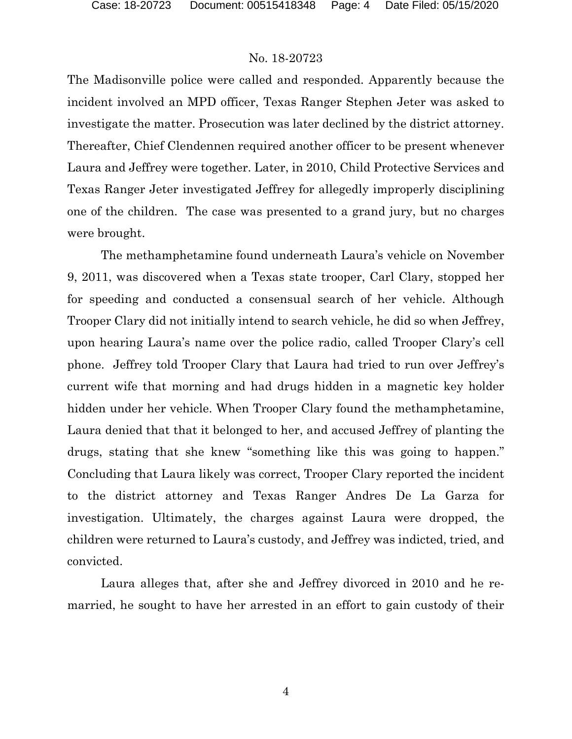The Madisonville police were called and responded. Apparently because the incident involved an MPD officer, Texas Ranger Stephen Jeter was asked to investigate the matter. Prosecution was later declined by the district attorney. Thereafter, Chief Clendennen required another officer to be present whenever Laura and Jeffrey were together. Later, in 2010, Child Protective Services and Texas Ranger Jeter investigated Jeffrey for allegedly improperly disciplining one of the children. The case was presented to a grand jury, but no charges were brought.

The methamphetamine found underneath Laura's vehicle on November 9, 2011, was discovered when a Texas state trooper, Carl Clary, stopped her for speeding and conducted a consensual search of her vehicle. Although Trooper Clary did not initially intend to search vehicle, he did so when Jeffrey, upon hearing Laura's name over the police radio, called Trooper Clary's cell phone. Jeffrey told Trooper Clary that Laura had tried to run over Jeffrey's current wife that morning and had drugs hidden in a magnetic key holder hidden under her vehicle. When Trooper Clary found the methamphetamine, Laura denied that that it belonged to her, and accused Jeffrey of planting the drugs, stating that she knew "something like this was going to happen." Concluding that Laura likely was correct, Trooper Clary reported the incident to the district attorney and Texas Ranger Andres De La Garza for investigation. Ultimately, the charges against Laura were dropped, the children were returned to Laura's custody, and Jeffrey was indicted, tried, and convicted.

Laura alleges that, after she and Jeffrey divorced in 2010 and he remarried, he sought to have her arrested in an effort to gain custody of their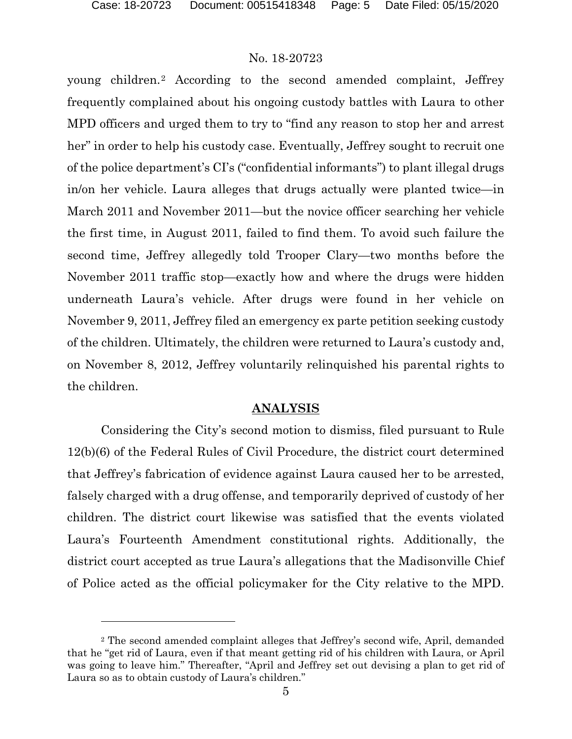young children.[2](#page-4-0) According to the second amended complaint, Jeffrey frequently complained about his ongoing custody battles with Laura to other MPD officers and urged them to try to "find any reason to stop her and arrest her" in order to help his custody case. Eventually, Jeffrey sought to recruit one of the police department's CI's ("confidential informants") to plant illegal drugs in/on her vehicle. Laura alleges that drugs actually were planted twice—in March 2011 and November 2011—but the novice officer searching her vehicle the first time, in August 2011, failed to find them. To avoid such failure the second time, Jeffrey allegedly told Trooper Clary—two months before the November 2011 traffic stop—exactly how and where the drugs were hidden underneath Laura's vehicle. After drugs were found in her vehicle on November 9, 2011, Jeffrey filed an emergency ex parte petition seeking custody of the children. Ultimately, the children were returned to Laura's custody and, on November 8, 2012, Jeffrey voluntarily relinquished his parental rights to the children.

#### **ANALYSIS**

Considering the City's second motion to dismiss, filed pursuant to Rule 12(b)(6) of the Federal Rules of Civil Procedure, the district court determined that Jeffrey's fabrication of evidence against Laura caused her to be arrested, falsely charged with a drug offense, and temporarily deprived of custody of her children. The district court likewise was satisfied that the events violated Laura's Fourteenth Amendment constitutional rights. Additionally, the district court accepted as true Laura's allegations that the Madisonville Chief of Police acted as the official policymaker for the City relative to the MPD.

<span id="page-4-0"></span><sup>2</sup> The second amended complaint alleges that Jeffrey's second wife, April, demanded that he "get rid of Laura, even if that meant getting rid of his children with Laura, or April was going to leave him." Thereafter, "April and Jeffrey set out devising a plan to get rid of Laura so as to obtain custody of Laura's children."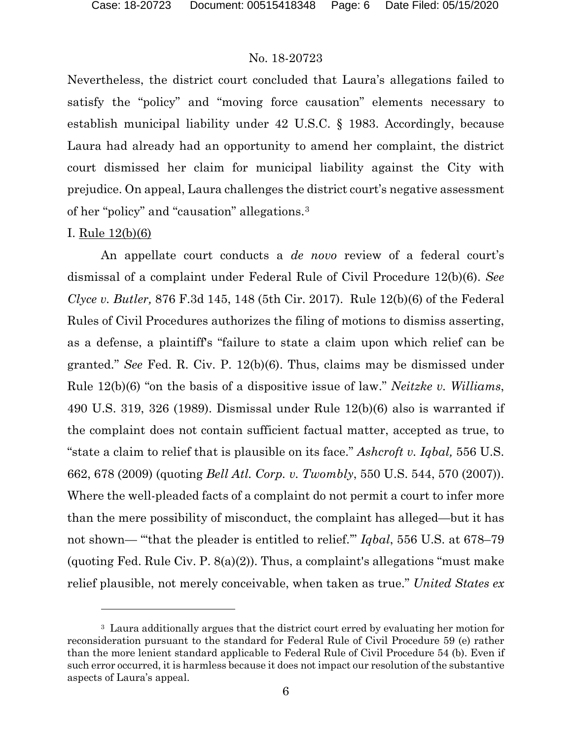Nevertheless, the district court concluded that Laura's allegations failed to satisfy the "policy" and "moving force causation" elements necessary to establish municipal liability under 42 U.S.C. § 1983. Accordingly, because Laura had already had an opportunity to amend her complaint, the district court dismissed her claim for municipal liability against the City with prejudice. On appeal, Laura challenges the district court's negative assessment of her "policy" and "causation" allegations.[3](#page-5-0)

# I. Rule 12(b)(6)

An appellate court conducts a *de novo* review of a federal court's dismissal of a complaint under Federal Rule of Civil Procedure 12(b)(6). *See Clyce v. Butler,* 876 F.3d 145, 148 (5th Cir. 2017). Rule 12(b)(6) of the Federal Rules of Civil Procedures authorizes the filing of motions to dismiss asserting, as a defense, a plaintiff's "failure to state a claim upon which relief can be granted." *See* Fed. R. Civ. P. 12(b)(6). Thus, claims may be dismissed under Rule 12(b)(6) "on the basis of a dispositive issue of law." *Neitzke v. Williams*, 490 U.S. 319, 326 (1989). Dismissal under Rule 12(b)(6) also is warranted if the complaint does not contain sufficient factual matter, accepted as true, to "state a claim to relief that is plausible on its face." *Ashcroft v. Iqbal,* 556 U.S. 662, 678 (2009) (quoting *Bell Atl. Corp. v. Twombly*, 550 U.S. 544, 570 (2007)). Where the well-pleaded facts of a complaint do not permit a court to infer more than the mere possibility of misconduct, the complaint has alleged—but it has not shown— "'that the pleader is entitled to relief.'" *Iqbal*, 556 U.S. at 678–79 (quoting Fed. Rule Civ. P.  $8(a)(2)$ ). Thus, a complaint's allegations "must make relief plausible, not merely conceivable, when taken as true." *United States ex* 

<span id="page-5-0"></span><sup>&</sup>lt;sup>3</sup> Laura additionally argues that the district court erred by evaluating her motion for reconsideration pursuant to the standard for Federal Rule of Civil Procedure 59 (e) rather than the more lenient standard applicable to Federal Rule of Civil Procedure 54 (b). Even if such error occurred, it is harmless because it does not impact our resolution of the substantive aspects of Laura's appeal.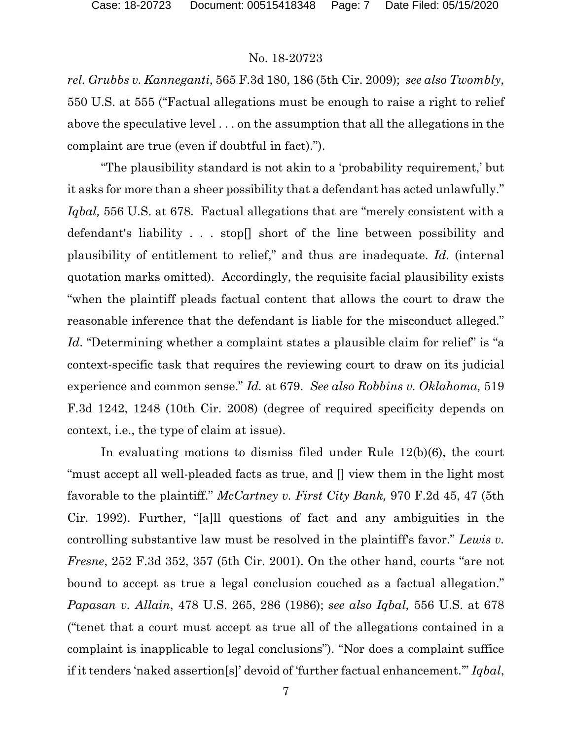*rel. Grubbs v. Kanneganti*, 565 F.3d 180, 186 (5th Cir. 2009); *see also Twombly*, 550 U.S. at 555 ("Factual allegations must be enough to raise a right to relief above the speculative level . . . on the assumption that all the allegations in the complaint are true (even if doubtful in fact).").

"The plausibility standard is not akin to a 'probability requirement,' but it asks for more than a sheer possibility that a defendant has acted unlawfully." *Iqbal,* 556 U.S. at 678. Factual allegations that are "merely consistent with a defendant's liability . . . stop[] short of the line between possibility and plausibility of entitlement to relief," and thus are inadequate. *Id.* (internal quotation marks omitted). Accordingly, the requisite facial plausibility exists "when the plaintiff pleads factual content that allows the court to draw the reasonable inference that the defendant is liable for the misconduct alleged." *Id.* "Determining whether a complaint states a plausible claim for relief" is "a context-specific task that requires the reviewing court to draw on its judicial experience and common sense." *Id.* at 679. *See also Robbins v. Oklahoma,* 519 F.3d 1242, 1248 (10th Cir. 2008) (degree of required specificity depends on context, i.e., the type of claim at issue).

In evaluating motions to dismiss filed under Rule 12(b)(6), the court "must accept all well-pleaded facts as true, and [] view them in the light most favorable to the plaintiff." *McCartney v. First City Bank,* 970 F.2d 45, 47 (5th Cir. 1992). Further, "[a]ll questions of fact and any ambiguities in the controlling substantive law must be resolved in the plaintiff's favor." *Lewis v. Fresne*, 252 F.3d 352, 357 (5th Cir. 2001). On the other hand, courts "are not bound to accept as true a legal conclusion couched as a factual allegation." *Papasan v. Allain*, 478 U.S. 265, 286 (1986); *see also Iqbal,* 556 U.S. at 678 ("tenet that a court must accept as true all of the allegations contained in a complaint is inapplicable to legal conclusions"). "Nor does a complaint suffice if it tenders 'naked assertion[s]' devoid of 'further factual enhancement.'" *Iqbal*,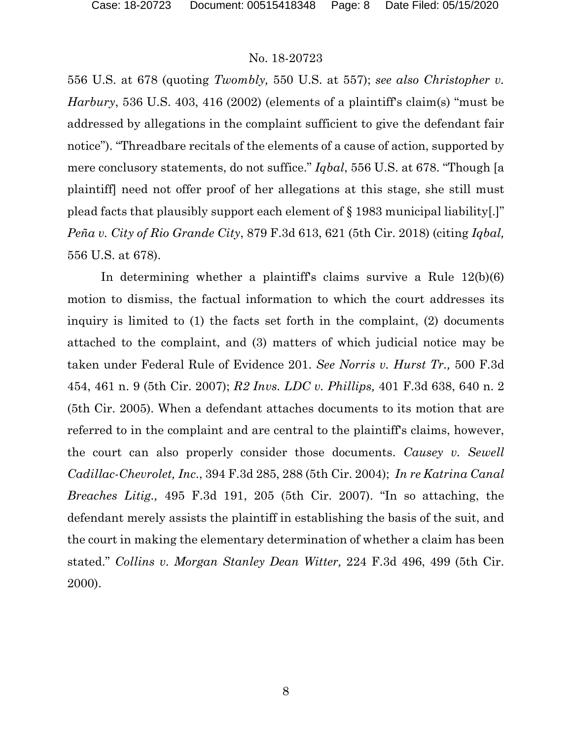556 U.S. at 678 (quoting *Twombly,* 550 U.S. at 557); *see also Christopher v. Harbury*, 536 U.S. 403, 416 (2002) (elements of a plaintiff's claim(s) "must be addressed by allegations in the complaint sufficient to give the defendant fair notice"). "Threadbare recitals of the elements of a cause of action, supported by mere conclusory statements, do not suffice." *Iqbal*, 556 U.S. at 678. "Though [a plaintiff] need not offer proof of her allegations at this stage, she still must plead facts that plausibly support each element of § 1983 municipal liability[.]" *Peña v. City of Rio Grande City*, 879 F.3d 613, 621 (5th Cir. 2018) (citing *Iqbal,* 556 U.S. at 678).

In determining whether a plaintiff's claims survive a Rule 12(b)(6) motion to dismiss, the factual information to which the court addresses its inquiry is limited to (1) the facts set forth in the complaint, (2) documents attached to the complaint, and (3) matters of which judicial notice may be taken under Federal Rule of Evidence 201. *See Norris v. Hurst Tr.,* 500 F.3d 454, 461 n. 9 (5th Cir. 2007); *R2 Invs. LDC v. Phillips,* 401 F.3d 638, 640 n. 2 (5th Cir. 2005). When a defendant attaches documents to its motion that are referred to in the complaint and are central to the plaintiff's claims, however, the court can also properly consider those documents. *Causey v. Sewell Cadillac-Chevrolet, Inc*., 394 F.3d 285, 288 (5th Cir. 2004); *In re Katrina Canal Breaches Litig.,* 495 F.3d 191, 205 (5th Cir. 2007). "In so attaching, the defendant merely assists the plaintiff in establishing the basis of the suit, and the court in making the elementary determination of whether a claim has been stated." *Collins v. Morgan Stanley Dean Witter,* 224 F.3d 496, 499 (5th Cir. 2000).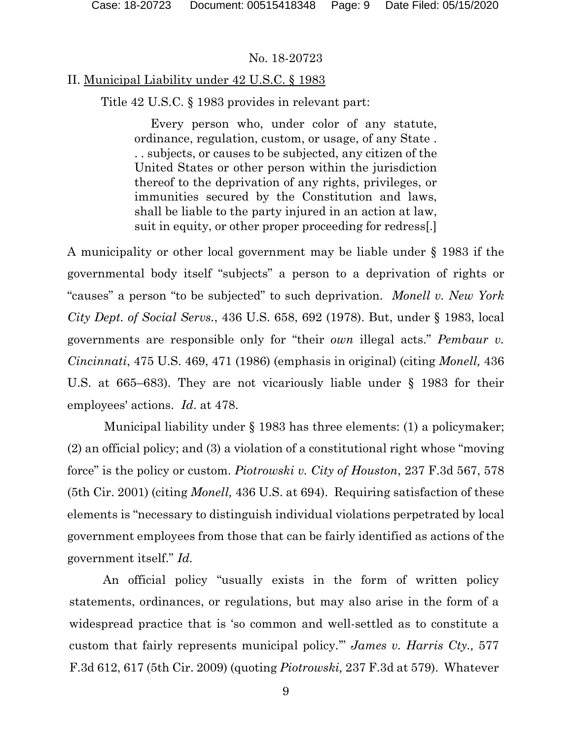# II. Municipal Liability under 42 U.S.C. § 1983

Title 42 U.S.C. § 1983 provides in relevant part:

Every person who, under color of any statute, ordinance, regulation, custom, or usage, of any State . . . subjects, or causes to be subjected, any citizen of the United States or other person within the jurisdiction thereof to the deprivation of any rights, privileges, or immunities secured by the Constitution and laws, shall be liable to the party injured in an action at law, suit in equity, or other proper proceeding for redress[.]

A municipality or other local government may be liable under § 1983 if the governmental body itself "subjects" a person to a deprivation of rights or "causes" a person "to be subjected" to such deprivation. *Monell v. New York City Dept. of Social Servs.*, 436 U.S. 658, 692 (1978). But, under § 1983, local governments are responsible only for "their *own* illegal acts." *Pembaur v. Cincinnati*, 475 U.S. 469, 471 (1986) (emphasis in original) (citing *Monell,* 436 U.S. at 665–683). They are not vicariously liable under § 1983 for their employees' actions. *Id*. at 478.

Municipal liability under § 1983 has three elements: (1) a policymaker; (2) an official policy; and (3) a violation of a constitutional right whose "moving force" is the policy or custom. *Piotrowski v. City of Houston*, 237 F.3d 567, 578 (5th Cir. 2001) (citing *Monell,* 436 U.S. at 694). Requiring satisfaction of these elements is "necessary to distinguish individual violations perpetrated by local government employees from those that can be fairly identified as actions of the government itself." *Id.* 

An official policy "usually exists in the form of written policy statements, ordinances, or regulations, but may also arise in the form of a widespread practice that is 'so common and well-settled as to constitute a custom that fairly represents municipal policy.'" *James v. Harris Cty.,* 577 F.3d 612, 617 (5th Cir. 2009) (quoting *Piotrowski,* 237 F.3d at 579). Whatever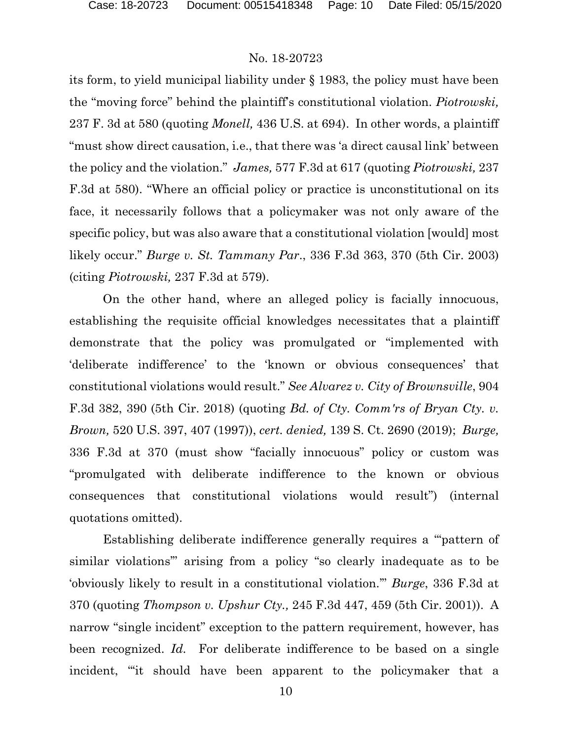its form, to yield municipal liability under § 1983, the policy must have been the "moving force" behind the plaintiff's constitutional violation. *Piotrowski,* 237 F. 3d at 580 (quoting *Monell,* 436 U.S. at 694). In other words, a plaintiff "must show direct causation, i.e., that there was 'a direct causal link' between the policy and the violation." *James,* 577 F.3d at 617 (quoting *Piotrowski,* 237 F.3d at 580). "Where an official policy or practice is unconstitutional on its face, it necessarily follows that a policymaker was not only aware of the specific policy, but was also aware that a constitutional violation [would] most likely occur." *Burge v. St. Tammany Par*., 336 F.3d 363, 370 (5th Cir. 2003) (citing *Piotrowski,* 237 F.3d at 579).

On the other hand, where an alleged policy is facially innocuous, establishing the requisite official knowledges necessitates that a plaintiff demonstrate that the policy was promulgated or "implemented with 'deliberate indifference' to the 'known or obvious consequences' that constitutional violations would result." *See Alvarez v. City of Brownsville*, 904 F.3d 382, 390 (5th Cir. 2018) (quoting *Bd. of Cty. Comm'rs of Bryan Cty. v. Brown,* 520 U.S. 397, 407 (1997)), *cert. denied,* 139 S. Ct. 2690 (2019); *Burge,*  336 F.3d at 370 (must show "facially innocuous" policy or custom was "promulgated with deliberate indifference to the known or obvious consequences that constitutional violations would result") (internal quotations omitted).

Establishing deliberate indifference generally requires a "'pattern of similar violations'" arising from a policy "so clearly inadequate as to be 'obviously likely to result in a constitutional violation.'" *Burge*, 336 F.3d at 370 (quoting *Thompson v. Upshur Cty.,* [245 F.3d 447, 459 \(5th Cir.](https://1.next.westlaw.com/Link/Document/FullText?findType=Y&serNum=2001225689&pubNum=0000506&originatingDoc=I539f593a89dd11d9b6ea9f5a173c4523&refType=RP&fi=co_pp_sp_506_459&originationContext=document&transitionType=DocumentItem&contextData=(sc.Default)#co_pp_sp_506_459) 2001)). A narrow "single incident" exception to the pattern requirement, however, has been recognized. *Id.* For deliberate indifference to be based on a single incident, "'it should have been apparent to the policymaker that a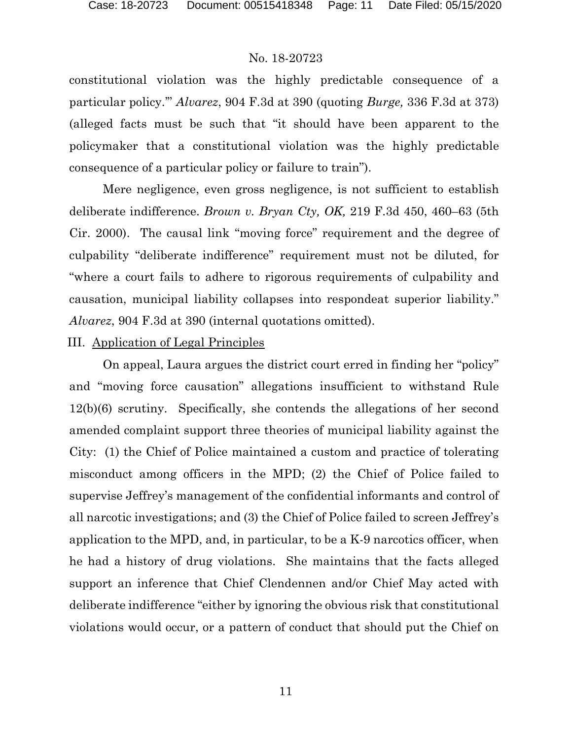constitutional violation was the highly predictable consequence of a particular policy.'" *Alvarez*, 904 F.3d at 390 (quoting *Burge,* 336 F.3d at 373) (alleged facts must be such that "it should have been apparent to the policymaker that a constitutional violation was the highly predictable consequence of a particular policy or failure to train").

Mere negligence, even gross negligence, is not sufficient to establish deliberate indifference. *Brown v. Bryan Cty, OK,* 219 F.3d 450, 460–63 (5th Cir. 2000). The causal link "moving force" requirement and the degree of culpability "deliberate indifference" requirement must not be diluted, for "where a court fails to adhere to rigorous requirements of culpability and causation, municipal liability collapses into respondeat superior liability." *Alvarez*, 904 F.3d at 390 (internal quotations omitted).

#### III. Application of Legal Principles

On appeal, Laura argues the district court erred in finding her "policy" and "moving force causation" allegations insufficient to withstand Rule 12(b)(6) scrutiny. Specifically, she contends the allegations of her second amended complaint support three theories of municipal liability against the City: (1) the Chief of Police maintained a custom and practice of tolerating misconduct among officers in the MPD; (2) the Chief of Police failed to supervise Jeffrey's management of the confidential informants and control of all narcotic investigations; and (3) the Chief of Police failed to screen Jeffrey's application to the MPD, and, in particular, to be a K-9 narcotics officer, when he had a history of drug violations. She maintains that the facts alleged support an inference that Chief Clendennen and/or Chief May acted with deliberate indifference "either by ignoring the obvious risk that constitutional violations would occur, or a pattern of conduct that should put the Chief on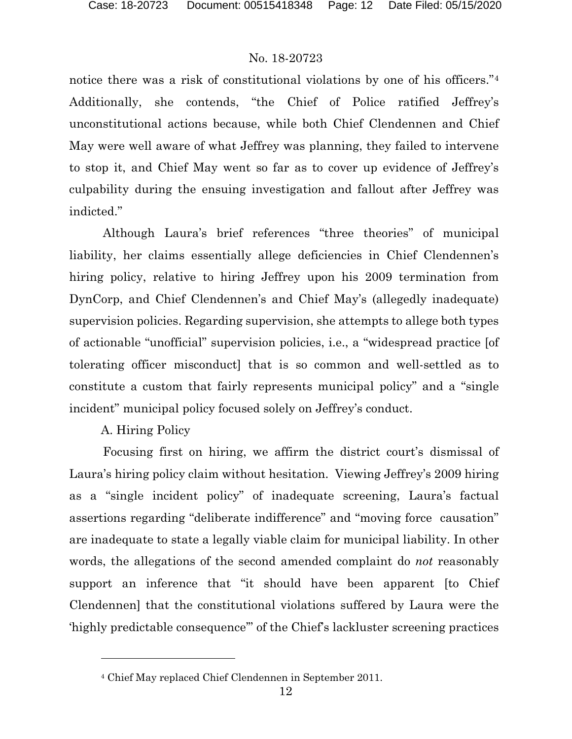notice there was a risk of constitutional violations by one of his officers."<sup>[4](#page-11-0)</sup> Additionally, she contends, "the Chief of Police ratified Jeffrey's unconstitutional actions because, while both Chief Clendennen and Chief May were well aware of what Jeffrey was planning, they failed to intervene to stop it, and Chief May went so far as to cover up evidence of Jeffrey's culpability during the ensuing investigation and fallout after Jeffrey was indicted."

Although Laura's brief references "three theories" of municipal liability, her claims essentially allege deficiencies in Chief Clendennen's hiring policy, relative to hiring Jeffrey upon his 2009 termination from DynCorp, and Chief Clendennen's and Chief May's (allegedly inadequate) supervision policies. Regarding supervision, she attempts to allege both types of actionable "unofficial" supervision policies, i.e., a "widespread practice [of tolerating officer misconduct] that is so common and well-settled as to constitute a custom that fairly represents municipal policy" and a "single incident" municipal policy focused solely on Jeffrey's conduct.

# A. Hiring Policy

Focusing first on hiring, we affirm the district court's dismissal of Laura's hiring policy claim without hesitation. Viewing Jeffrey's 2009 hiring as a "single incident policy" of inadequate screening, Laura's factual assertions regarding "deliberate indifference" and "moving force causation" are inadequate to state a legally viable claim for municipal liability. In other words, the allegations of the second amended complaint do *not* reasonably support an inference that "it should have been apparent [to Chief Clendennen] that the constitutional violations suffered by Laura were the 'highly predictable consequence'" of the Chief's lackluster screening practices

<span id="page-11-0"></span><sup>4</sup> Chief May replaced Chief Clendennen in September 2011.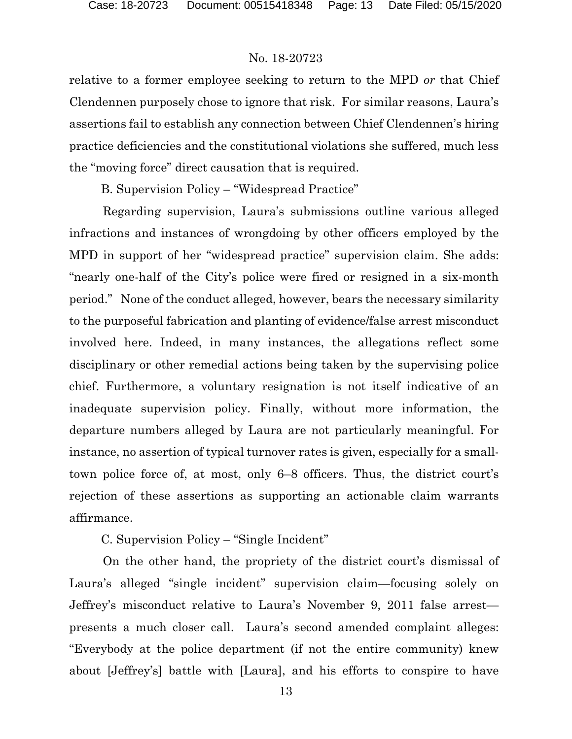relative to a former employee seeking to return to the MPD *or* that Chief Clendennen purposely chose to ignore that risk. For similar reasons, Laura's assertions fail to establish any connection between Chief Clendennen's hiring practice deficiencies and the constitutional violations she suffered, much less the "moving force" direct causation that is required.

B. Supervision Policy – "Widespread Practice"

Regarding supervision, Laura's submissions outline various alleged infractions and instances of wrongdoing by other officers employed by the MPD in support of her "widespread practice" supervision claim. She adds: "nearly one-half of the City's police were fired or resigned in a six-month period." None of the conduct alleged, however, bears the necessary similarity to the purposeful fabrication and planting of evidence/false arrest misconduct involved here. Indeed, in many instances, the allegations reflect some disciplinary or other remedial actions being taken by the supervising police chief. Furthermore, a voluntary resignation is not itself indicative of an inadequate supervision policy. Finally, without more information, the departure numbers alleged by Laura are not particularly meaningful. For instance, no assertion of typical turnover rates is given, especially for a smalltown police force of, at most, only 6–8 officers. Thus, the district court's rejection of these assertions as supporting an actionable claim warrants affirmance.

C. Supervision Policy – "Single Incident"

On the other hand, the propriety of the district court's dismissal of Laura's alleged "single incident" supervision claim—focusing solely on Jeffrey's misconduct relative to Laura's November 9, 2011 false arrest presents a much closer call.Laura's second amended complaint alleges: "Everybody at the police department (if not the entire community) knew about [Jeffrey's] battle with [Laura], and his efforts to conspire to have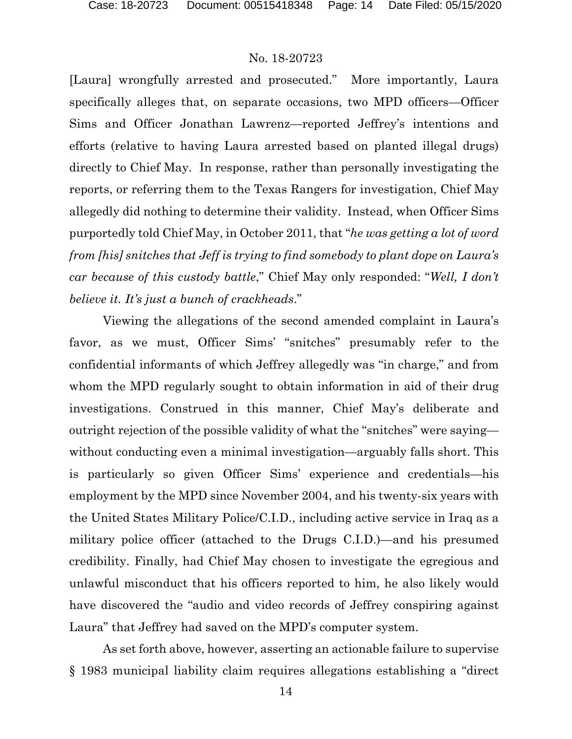[Laura] wrongfully arrested and prosecuted." More importantly, Laura specifically alleges that, on separate occasions, two MPD officers—Officer Sims and Officer Jonathan Lawrenz—reported Jeffrey's intentions and efforts (relative to having Laura arrested based on planted illegal drugs) directly to Chief May. In response, rather than personally investigating the reports, or referring them to the Texas Rangers for investigation, Chief May allegedly did nothing to determine their validity. Instead, when Officer Sims purportedly told Chief May, in October 2011, that "*he was getting a lot of word from [his] snitches that Jeff is trying to find somebody to plant dope on Laura's car because of this custody battle*," Chief May only responded: "*Well, I don't believe it. It's just a bunch of crackheads*."

Viewing the allegations of the second amended complaint in Laura's favor, as we must, Officer Sims' "snitches" presumably refer to the confidential informants of which Jeffrey allegedly was "in charge," and from whom the MPD regularly sought to obtain information in aid of their drug investigations. Construed in this manner, Chief May's deliberate and outright rejection of the possible validity of what the "snitches" were saying without conducting even a minimal investigation—arguably falls short. This is particularly so given Officer Sims' experience and credentials—his employment by the MPD since November 2004, and his twenty-six years with the United States Military Police/C.I.D., including active service in Iraq as a military police officer (attached to the Drugs C.I.D.)—and his presumed credibility. Finally, had Chief May chosen to investigate the egregious and unlawful misconduct that his officers reported to him, he also likely would have discovered the "audio and video records of Jeffrey conspiring against Laura" that Jeffrey had saved on the MPD's computer system.

As set forth above, however, asserting an actionable failure to supervise § 1983 municipal liability claim requires allegations establishing a "direct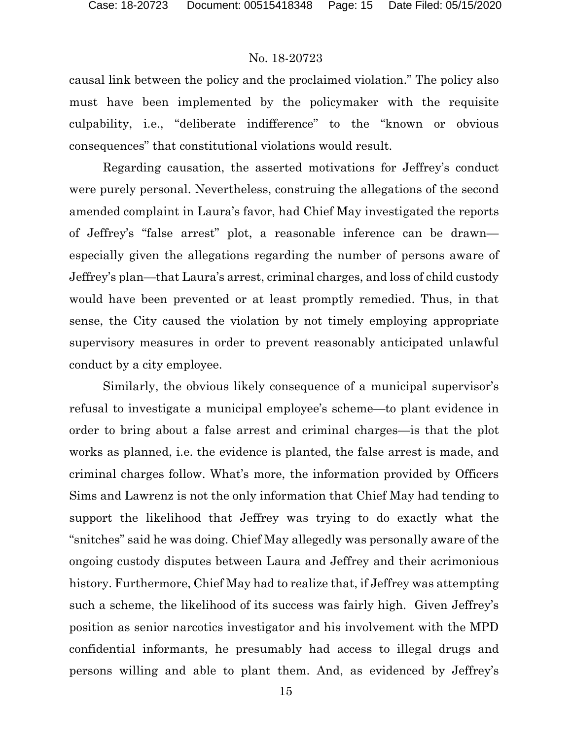causal link between the policy and the proclaimed violation." The policy also must have been implemented by the policymaker with the requisite culpability, i.e., "deliberate indifference" to the "known or obvious consequences" that constitutional violations would result.

Regarding causation, the asserted motivations for Jeffrey's conduct were purely personal. Nevertheless, construing the allegations of the second amended complaint in Laura's favor, had Chief May investigated the reports of Jeffrey's "false arrest" plot, a reasonable inference can be drawn especially given the allegations regarding the number of persons aware of Jeffrey's plan—that Laura's arrest, criminal charges, and loss of child custody would have been prevented or at least promptly remedied. Thus, in that sense, the City caused the violation by not timely employing appropriate supervisory measures in order to prevent reasonably anticipated unlawful conduct by a city employee.

Similarly, the obvious likely consequence of a municipal supervisor's refusal to investigate a municipal employee's scheme—to plant evidence in order to bring about a false arrest and criminal charges—is that the plot works as planned, i.e. the evidence is planted, the false arrest is made, and criminal charges follow. What's more, the information provided by Officers Sims and Lawrenz is not the only information that Chief May had tending to support the likelihood that Jeffrey was trying to do exactly what the "snitches" said he was doing. Chief May allegedly was personally aware of the ongoing custody disputes between Laura and Jeffrey and their acrimonious history. Furthermore, Chief May had to realize that, if Jeffrey was attempting such a scheme, the likelihood of its success was fairly high. Given Jeffrey's position as senior narcotics investigator and his involvement with the MPD confidential informants, he presumably had access to illegal drugs and persons willing and able to plant them. And, as evidenced by Jeffrey's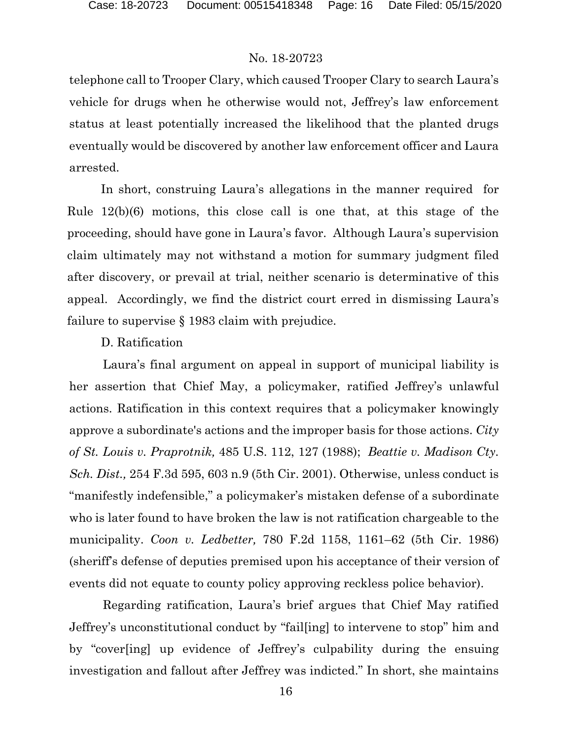telephone call to Trooper Clary, which caused Trooper Clary to search Laura's vehicle for drugs when he otherwise would not, Jeffrey's law enforcement status at least potentially increased the likelihood that the planted drugs eventually would be discovered by another law enforcement officer and Laura arrested.

In short, construing Laura's allegations in the manner required for Rule 12(b)(6) motions, this close call is one that, at this stage of the proceeding, should have gone in Laura's favor. Although Laura's supervision claim ultimately may not withstand a motion for summary judgment filed after discovery, or prevail at trial, neither scenario is determinative of this appeal. Accordingly, we find the district court erred in dismissing Laura's failure to supervise § 1983 claim with prejudice.

## D. Ratification

Laura's final argument on appeal in support of municipal liability is her assertion that Chief May, a policymaker, ratified Jeffrey's unlawful actions. Ratification in this context requires that a policymaker knowingly approve a subordinate's actions and the improper basis for those actions. *City of St. Louis v. Praprotnik,* 485 U.S. 112, 127 (1988); *Beattie v. Madison Cty. Sch. Dist.,* 254 F.3d 595, 603 n.9 (5th Cir. 2001). Otherwise, unless conduct is "manifestly indefensible," a policymaker's mistaken defense of a subordinate who is later found to have broken the law is not ratification chargeable to the municipality. *Coon v. Ledbetter,* 780 F.2d 1158, 1161–62 (5th Cir. 1986) (sheriff's defense of deputies premised upon his acceptance of their version of events did not equate to county policy approving reckless police behavior).

Regarding ratification, Laura's brief argues that Chief May ratified Jeffrey's unconstitutional conduct by "fail[ing] to intervene to stop" him and by "cover[ing] up evidence of Jeffrey's culpability during the ensuing investigation and fallout after Jeffrey was indicted." In short, she maintains